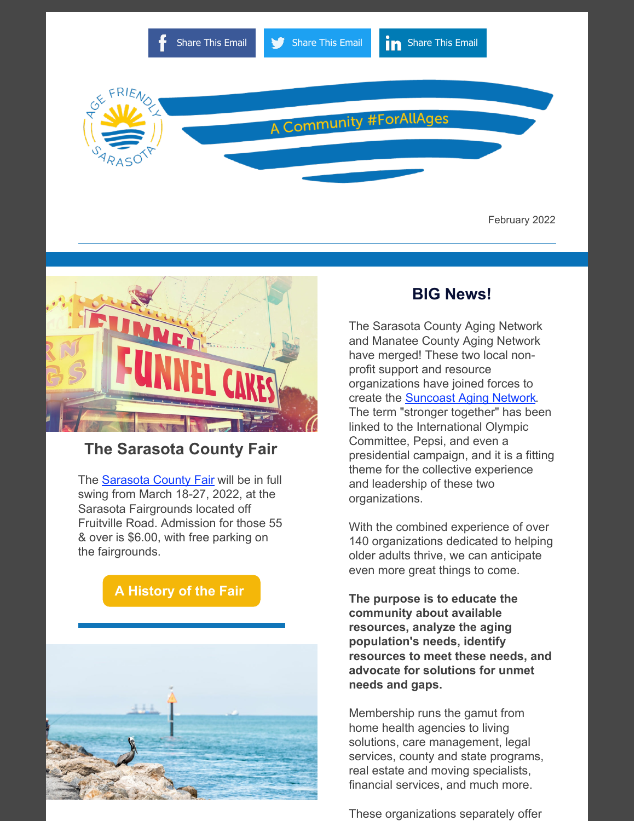



#### **The Sarasota County Fair**

The [Sarasota County Fair](https://www.sarasotafair.com/) will be in full swing from March 18-27, 2022, at the Sarasota Fairgrounds located off Fruitville Road. Admission for those 55 & over is \$6.00, with free parking on the fairgrounds.





#### **BIG News!**

The Sarasota County Aging Network and Manatee County Aging Network have merged! These two local nonprofit support and resource organizations have joined forces to create the **[Suncoast Aging Network](https://www.suncoastagingnetwork.com/)**. The term "stronger together" has been linked to the International Olympic Committee, Pepsi, and even a presidential campaign, and it is a fitting theme for the collective experience and leadership of these two organizations.

With the combined experience of over 140 organizations dedicated to helping older adults thrive, we can anticipate even more great things to come.

**The purpose is to educate the community about available resources, analyze the aging population's needs, identify resources to meet these needs, and advocate for solutions for unmet needs and gaps.**

Membership runs the gamut from home health agencies to living solutions, care management, legal services, county and state programs, real estate and moving specialists, financial services, and much more.

These organizations separately offer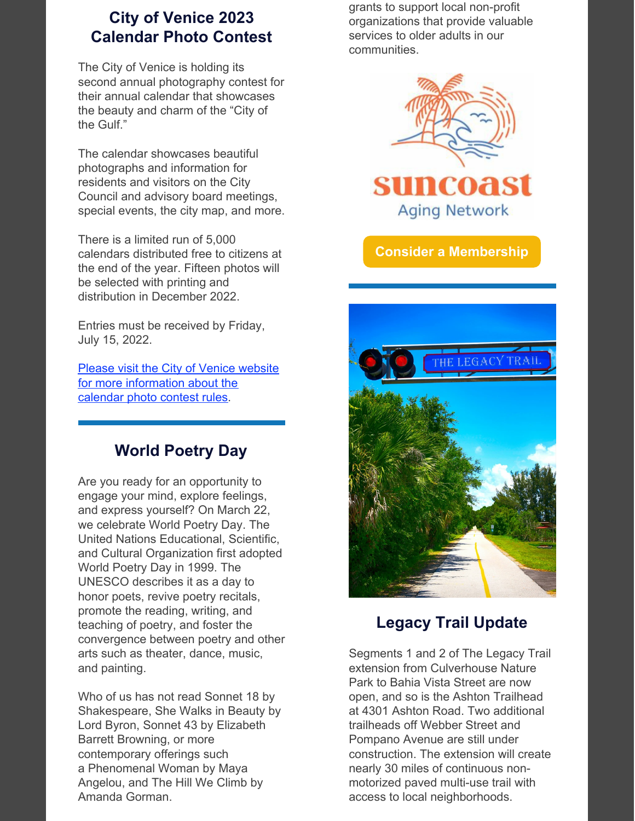# **City of Venice 2023 Calendar Photo Contest**

The City of Venice is holding its second annual photography contest for their annual calendar that showcases the beauty and charm of the "City of the Gulf."

The calendar showcases beautiful photographs and information for residents and visitors on the City Council and advisory board meetings, special events, the city map, and more.

There is a limited run of 5,000 calendars distributed free to citizens at the end of the year. Fifteen photos will be selected with printing and distribution in December 2022.

Entries must be received by Friday, July 15, 2022.

Please visit the City of Venice website for more [information](https://www.venicegov.com/i-want-to/enter-the-photo-contest-for-the-2023-city-calendar) about the calendar photo contest rules.

# **World Poetry Day**

Are you ready for an opportunity to engage your mind, explore feelings, and express yourself? On March 22, we celebrate World Poetry Day. The United Nations Educational, Scientific, and Cultural Organization first adopted World Poetry Day in 1999. The UNESCO describes it as a day to honor poets, revive poetry recitals, promote the reading, writing, and teaching of poetry, and foster the convergence between poetry and other arts such as theater, dance, music, and painting.

Who of us has not read Sonnet 18 by Shakespeare, She Walks in Beauty by Lord Byron, Sonnet 43 by Elizabeth Barrett Browning, or more contemporary offerings such a Phenomenal Woman by Maya Angelou, and The Hill We Climb by Amanda Gorman.

grants to support local non-profit organizations that provide valuable services to older adults in our communities.



**Consider a [Membership](https://www.suncoastagingnetwork.com/)**



# **Legacy Trail Update**

Segments 1 and 2 of The Legacy Trail extension from Culverhouse Nature Park to Bahia Vista Street are now open, and so is the Ashton Trailhead at 4301 Ashton Road. Two additional trailheads off Webber Street and Pompano Avenue are still under construction. The extension will create nearly 30 miles of continuous nonmotorized paved multi-use trail with access to local neighborhoods.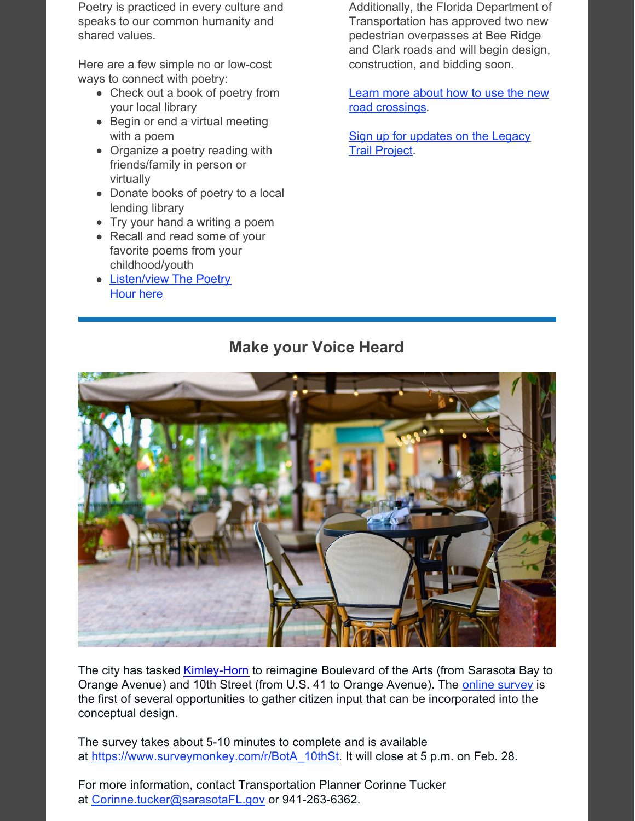Poetry is practiced in every culture and speaks to our common humanity and shared values.

Here are a few simple no or low-cost ways to connect with poetry:

- Check out a book of poetry from your local library
- Begin or end a virtual meeting with a poem
- Organize a poetry reading with friends/family in person or virtually
- Donate books of poetry to a local lending library
- Try your hand a writing a poem
- Recall and read some of your favorite poems from your childhood/youth
- [Listen/view The Poetry](https://www.thepoetryhour.com/) Hour here

Additionally, the Florida Department of Transportation has approved two new pedestrian overpasses at Bee Ridge and Clark roads and will begin design, construction, and bidding soon.

[Learn more about how to use the new](https://www.scgov.net/government/capital-projects/legacy-trail-update) road crossings.

[Sign up for updates on the Legacy](https://visitor.r20.constantcontact.com/manage/optin?v=001KoyZ43z4t0joxCaMLzXIhXdhL0jFdADQIFSlmCVacNT1jzmM_BZYFNzkHSvR89A6GCWbQU77-beFHB1yIOnRizTb7n8BIBx8vHPvKI8lYn9lE3oC6CXr1ssxPNlbJHrw53RZAN7Pq5oL9JlzBpFL9PedrVHX-angKjX4KxmPHEz2OU3i3zfYlYepuOe68YKXfagTgMBP0C2-5wlUhP6BuuPhOuIjkRja6ILoxSiNYd5CvxTJmBCV9Se5VdQICjRagxjK_1Vw-axUh_CAgFzQeekRE1yyuV6NUa8X_I-h-sTy6_KWWapua6C7ZB5emGSEN32CnccQK7ddwAe6pwvCVCoKZBupkkwln6h7OwY5Ju0o42FSb7Jpf7RQ8gWB_ud5NBtRGJ9RA556QwlPNKGBuxw7FEezJKiQAss8SpKqUNMF5o3z2U5MHNGjCoYvAlJTxzpTIySUJSs%3D) Trail Project.

#### **Make your Voice Heard**



The city has tasked *[Kimley-Horn](https://www.kimley-horn.com/)* to reimagine Boulevard of the Arts (from Sarasota Bay to Orange Avenue) and 10th Street (from U.S. 41 to Orange Avenue). The [online survey](https://www.surveymonkey.com/r/BotA_10thSt) is the first of several opportunities to gather citizen input that can be incorporated into the conceptual design.

The survey takes about 5-10 minutes to complete and is available at [https://www.surveymonkey.com/r/BotA\\_10thSt.](https://www.surveymonkey.com/r/BotA_10thSt) It will close at 5 p.m. on Feb. 28.

For more information, contact Transportation Planner Corinne Tucker at [Corinne.tucker@sarasotaFL.gov](mailto:Corinne.tucker@sarasotaFL.gov) or 941-263-6362.